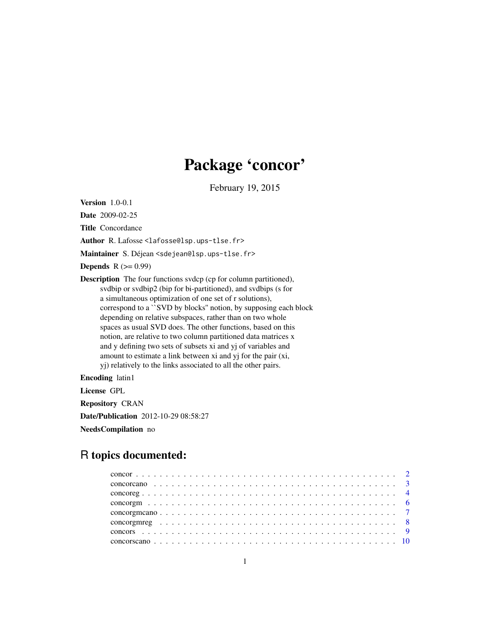# Package 'concor'

February 19, 2015

Version 1.0-0.1

Date 2009-02-25

Title Concordance

Author R. Lafosse <lafosse@lsp.ups-tlse.fr>

Maintainer S. Déjean <sdejean@lsp.ups-tlse.fr>

**Depends**  $R$  ( $>= 0.99$ )

Description The four functions svdcp (cp for column partitioned), svdbip or svdbip2 (bip for bi-partitioned), and svdbips (s for a simultaneous optimization of one set of r solutions), correspond to a ``SVD by blocks'' notion, by supposing each block depending on relative subspaces, rather than on two whole spaces as usual SVD does. The other functions, based on this notion, are relative to two column partitioned data matrices x and y defining two sets of subsets xi and yj of variables and amount to estimate a link between xi and yj for the pair (xi, yj) relatively to the links associated to all the other pairs.

Encoding latin1

License GPL

Repository CRAN

Date/Publication 2012-10-29 08:58:27

NeedsCompilation no

# R topics documented: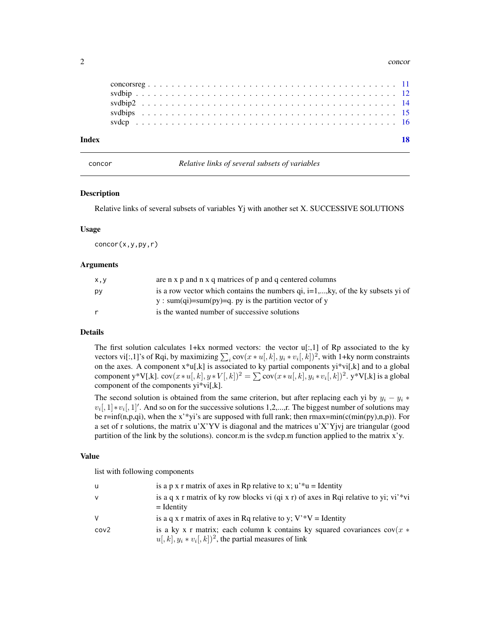#### 2 concording to the concording of the concording to the concording of the concording of the concording of the concording of the concording of the concording of the concording of the concording of the concording of the conc

| Index |  |  |  |  |  |  |  |  |  |  |  |  |  |  |  |  |  |  |  |  |  |  |
|-------|--|--|--|--|--|--|--|--|--|--|--|--|--|--|--|--|--|--|--|--|--|--|
|       |  |  |  |  |  |  |  |  |  |  |  |  |  |  |  |  |  |  |  |  |  |  |
|       |  |  |  |  |  |  |  |  |  |  |  |  |  |  |  |  |  |  |  |  |  |  |
|       |  |  |  |  |  |  |  |  |  |  |  |  |  |  |  |  |  |  |  |  |  |  |
|       |  |  |  |  |  |  |  |  |  |  |  |  |  |  |  |  |  |  |  |  |  |  |
|       |  |  |  |  |  |  |  |  |  |  |  |  |  |  |  |  |  |  |  |  |  |  |

concor *Relative links of several subsets of variables*

#### Description

Relative links of several subsets of variables Yj with another set X. SUCCESSIVE SOLUTIONS

### Usage

 $concor(x,y,py,r)$ 

#### Arguments

| is a row vector which contains the numbers $qi$ , $i=1,,ky$ , of the ky subsets yi of |
|---------------------------------------------------------------------------------------|
|                                                                                       |
|                                                                                       |
|                                                                                       |

# Details

The first solution calculates  $1+ kx$  normed vectors: the vector  $u[:, 1]$  of Rp associated to the ky vectors vi[:,1]'s of Rqi, by maximizing  $\sum_i cov(x * u[, k], y_i * v_i[, k])^2$ , with 1+ky norm constraints on the axes. A component x\*u[,k] is associated to ky partial components yi\*vi[,k] and to a global component y\*V[,k]. cov $(x*u[,k], y*V[,k])^2 = \sum cov(x*u[,k], y_i*v_i[,k])^2$ . y\*V[,k] is a global component of the components yi\*vi[,k].

The second solution is obtained from the same criterion, but after replacing each yi by  $y_i - y_i *$  $v_i$ [, 1] \*  $v_i$ [, 1]'. And so on for the successive solutions 1,2,...,r. The biggest number of solutions may be r=inf(n,p,qi), when the x'\*yi's are supposed with full rank; then  $rmax = min(c(min(py),n,p))$ . For a set of r solutions, the matrix u'X'YV is diagonal and the matrices u'X'Yjvj are triangular (good partition of the link by the solutions). concor.m is the svdcp.m function applied to the matrix x'y.

# Value

| u    | is a p x r matrix of axes in Rp relative to x; $u^*u =$ Identity                                                                                    |
|------|-----------------------------------------------------------------------------------------------------------------------------------------------------|
| v    | is a q x r matrix of ky row blocks vi (qi x r) of axes in Rqi relative to yi; vi'*vi<br>$=$ Identity                                                |
| V    | is a q x r matrix of axes in Rq relative to y; $V^*V =$ Identity                                                                                    |
| cov2 | is a ky x r matrix; each column k contains ky squared covariances $cov(x *$<br>$u[, k], y_i * v_i[, k]$ <sup>2</sup> , the partial measures of link |

<span id="page-1-0"></span>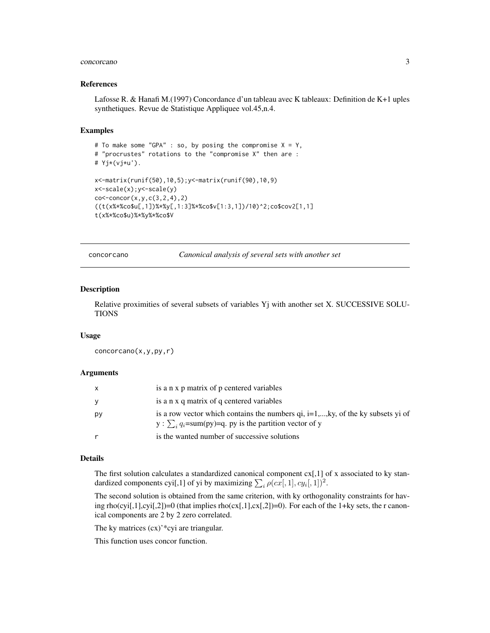#### <span id="page-2-0"></span>concorcano 3

#### References

Lafosse R. & Hanafi M.(1997) Concordance d'un tableau avec K tableaux: Definition de K+1 uples synthetiques. Revue de Statistique Appliquee vol.45,n.4.

# Examples

```
# To make some "GPA" : so, by posing the compromise X = Y,
# "procrustes" rotations to the "compromise X" then are :
# Yj*(vj*u').
x<-matrix(runif(50),10,5);y<-matrix(runif(90),10,9)
x<-scale(x);y<-scale(y)
co < -concor(x, y, c(3, 2, 4), 2)((t(x***&c_0$u[,1])***&(f,1:3]***&c_0$v[1:3,1])/10)^2;co$cov2[1,1]t(x%*%co$u)%*%y%*%co$V
```
concorcano *Canonical analysis of several sets with another set*

# Description

Relative proximities of several subsets of variables Yj with another set X. SUCCESSIVE SOLU-TIONS

#### Usage

concorcano(x,y,py,r)

#### Arguments

| X        | is a n x p matrix of p centered variables                                                                                                                        |
|----------|------------------------------------------------------------------------------------------------------------------------------------------------------------------|
| <b>y</b> | is a n x q matrix of q centered variables                                                                                                                        |
| py       | is a row vector which contains the numbers $qi$ , $i=1,,ky$ , of the ky subsets yi of<br>y : $\sum_i q_i = \text{sum}(py) = q$ . py is the partition vector of y |
|          | is the wanted number of successive solutions                                                                                                                     |

# Details

The first solution calculates a standardized canonical component  $cx[,1]$  of x associated to ky standardized components cyi[,1] of yi by maximizing  $\sum_i \rho(cx[, 1], cy_i[, 1])^2$ .

The second solution is obtained from the same criterion, with ky orthogonality constraints for having rho(cyi[,1],cyi[,2])=0 (that implies rho(cx[,1],cx[,2])=0). For each of the 1+ky sets, the r canonical components are 2 by 2 zero correlated.

The ky matrices (cx)'\*cyi are triangular.

This function uses concor function.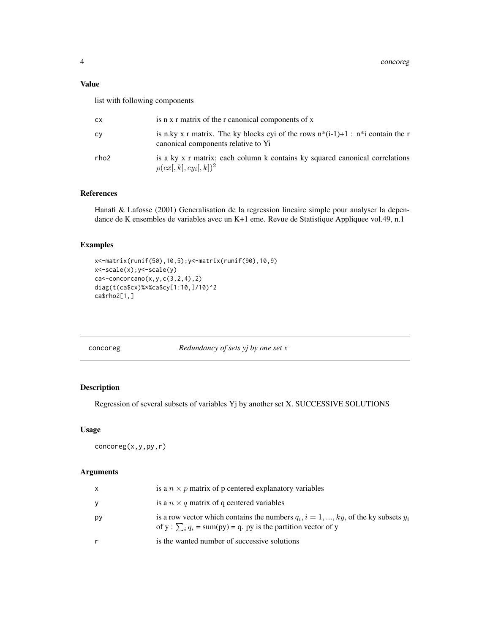# <span id="page-3-0"></span>Value

list with following components

| СX   | is n x r matrix of the r canonical components of x                                                                           |
|------|------------------------------------------------------------------------------------------------------------------------------|
| сv   | is n.ky x r matrix. The ky blocks cyi of the rows $n^*(i-1)+1$ : $n^*i$ contain the r<br>canonical components relative to Yi |
| rho2 | is a ky x r matrix; each column k contains ky squared canonical correlations<br>$\rho(cx[, k], cy_i[, k])^2$                 |

# References

Hanafi & Lafosse (2001) Generalisation de la regression lineaire simple pour analyser la dependance de K ensembles de variables avec un K+1 eme. Revue de Statistique Appliquee vol.49, n.1

# Examples

```
x<-matrix(runif(50),10,5);y<-matrix(runif(90),10,9)
x<-scale(x);y<-scale(y)
ca \leftarrow concorcano(x,y,c(3,2,4),2)diag(t(ca$cx)%*%ca$cy[1:10,]/10)^2
ca$rho2[1,]
```
# concoreg *Redundancy of sets yj by one set x*

# Description

Regression of several subsets of variables Yj by another set X. SUCCESSIVE SOLUTIONS

# Usage

concoreg(x,y,py,r)

# Arguments

|    | is a $n \times p$ matrix of p centered explanatory variables                                                                                                            |
|----|-------------------------------------------------------------------------------------------------------------------------------------------------------------------------|
|    | is a $n \times q$ matrix of q centered variables                                                                                                                        |
| рy | is a row vector which contains the numbers $q_i$ , $i = 1, , ky$ , of the ky subsets $y_i$<br>of y: $\sum_i q_i = \text{sum(py)} = q$ . py is the partition vector of y |
|    | is the wanted number of successive solutions                                                                                                                            |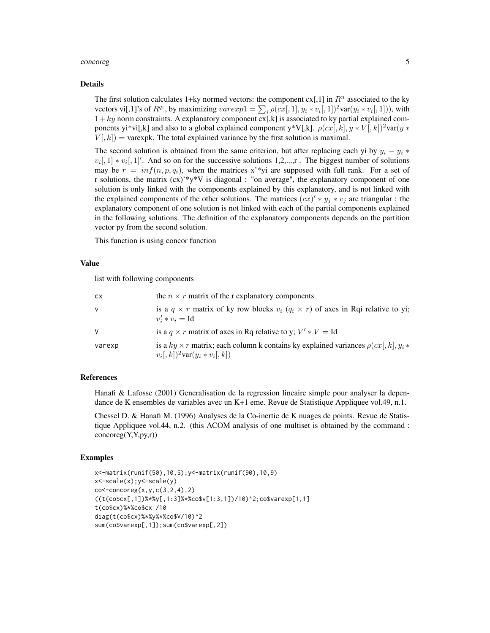#### concoreg  $\sim$  5

#### Details

The first solution calculates 1+ky normed vectors: the component  $cx[,1]$  in  $R<sup>n</sup>$  associated to the ky vectors vi[,1]'s of  $R^{q_i}$ , by maximizing  $varexp1 = \sum_i \rho(cx[, 1], y_i * v_i[, 1])^2 var(y_i * v_i[, 1]))$ , with  $1+ky$  norm constraints. A explanatory component  $cx[k]$  is associated to ky partial explained components yi\*vi[,k] and also to a global explained component y\*V[,k].  $\rho(cx, k), y*V, k)^2var(y *$  $V[, k]$  = varexpk. The total explained variance by the first solution is maximal.

The second solution is obtained from the same criterion, but after replacing each yi by  $y_i - y_i *$  $v_i$ [, 1]  $* v_i$ [, 1]'. And so on for the successive solutions 1,2,...,r. The biggest number of solutions may be  $r = inf(n, p, q_i)$ , when the matrices x<sup>\*\*</sup>yi are supposed with full rank. For a set of r solutions, the matrix (cx)'\*y\*V is diagonal : "on average", the explanatory component of one solution is only linked with the components explained by this explanatory, and is not linked with the explained components of the other solutions. The matrices  $(cx)' * y_j * v_j$  are triangular : the explanatory component of one solution is not linked with each of the partial components explained in the following solutions. The definition of the explanatory components depends on the partition vector py from the second solution.

This function is using concor function

### Value

list with following components

| <b>CX</b> | the $n \times r$ matrix of the r explanatory components                                                                                         |
|-----------|-------------------------------------------------------------------------------------------------------------------------------------------------|
| v         | is a $q \times r$ matrix of ky row blocks $v_i$ $(q_i \times r)$ of axes in Rqi relative to yi;<br>$v'_i * v_i = \mathrm{Id}$                   |
| V         | is a $q \times r$ matrix of axes in Rq relative to y; $V' * V = Id$                                                                             |
| varexp    | is a $ky \times r$ matrix; each column k contains ky explained variances $\rho(cx , k , y_i *$<br>$v_i[, k]$ <sup>2</sup> var $(y_i * v_i[, k]$ |

### References

Hanafi & Lafosse (2001) Generalisation de la regression lineaire simple pour analyser la dependance de K ensembles de variables avec un K+1 eme. Revue de Statistique Appliquee vol.49, n.1.

Chessel D. & Hanafi M. (1996) Analyses de la Co-inertie de K nuages de points. Revue de Statistique Appliquee vol.44, n.2. (this ACOM analysis of one multiset is obtained by the command : concoreg(Y,Y,py,r))

#### Examples

```
x<-matrix(runif(50),10,5);y<-matrix(runif(90),10,9)
x<-scale(x);y<-scale(y)
co < -concoreg(x, y, c(3, 2, 4), 2)((t(co$cx[,1])%*%y[,1:3]%*%co$v[1:3,1])/10)^2;co$varexp[1,1]
t(co$cx)%*%co$cx /10
diag(t(co$cx)%*%y%*%co$V/10)^2
sum(co$varexp[,1]);sum(co$varexp[,2])
```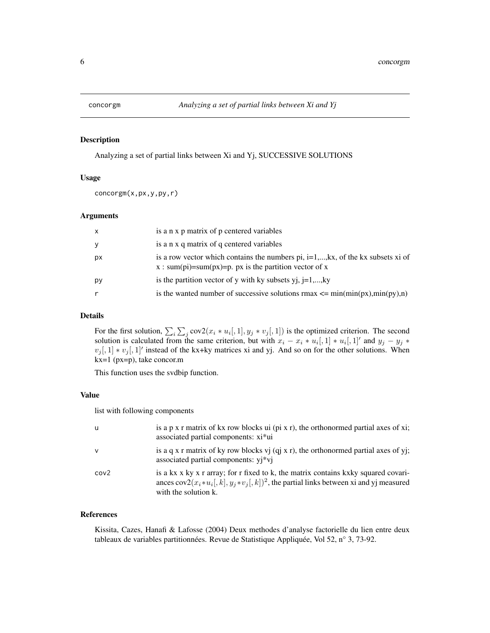<span id="page-5-0"></span>

# Description

Analyzing a set of partial links between Xi and Yj, SUCCESSIVE SOLUTIONS

#### Usage

concorgm(x,px,y,py,r)

# Arguments

| $\mathsf{x}$ | is a n x p matrix of p centered variables                                                                                                    |
|--------------|----------------------------------------------------------------------------------------------------------------------------------------------|
| y            | is a n x q matrix of q centered variables                                                                                                    |
| px           | is a row vector which contains the numbers pi, $i=1,,kx$ , of the kx subsets xi of<br>x : sum(pi)=sum(px)=p. px is the partition vector of x |
| рy           | is the partition vector of y with ky subsets yj, $j=1,,ky$                                                                                   |
|              | is the wanted number of successive solutions $rmax \leq \min(\min(px), \min(px), n)$                                                         |

# Details

For the first solution,  $\sum_i \sum_j cov2(x_i * u_i[, 1], y_j * v_j[, 1]$  is the optimized criterion. The second solution is calculated from the same criterion, but with  $x_i - x_i * u_i$ ,  $[1] * u_i$ ,  $[1]'$  and  $y_j - y_j *$  $v_j[,1] * v_j[,1]'$  instead of the kx+ky matrices xi and yj. And so on for the other solutions. When kx=1 (px=p), take concor.m

This function uses the svdbip function.

# Value

list with following components

| U.               | is a p x r matrix of kx row blocks ui (pi x r), the orthonormed partial axes of xi;<br>associated partial components: xi*ui                                                                                          |
|------------------|----------------------------------------------------------------------------------------------------------------------------------------------------------------------------------------------------------------------|
| $\mathsf{v}$     | is a q x r matrix of ky row blocks $vi$ (qi x r), the orthonormed partial axes of yj;<br>associated partial components: yj*vj                                                                                        |
| cov <sub>2</sub> | is a kx x ky x r array; for r fixed to k, the matrix contains kxky squared covari-<br>ances $cov2(x_i * u_i, k], y_i * v_i, k$ ) <sup>2</sup> , the partial links between xi and yj measured<br>with the solution k. |

# References

Kissita, Cazes, Hanafi & Lafosse (2004) Deux methodes d'analyse factorielle du lien entre deux tableaux de variables partitionnées. Revue de Statistique Appliquée, Vol 52, n° 3, 73-92.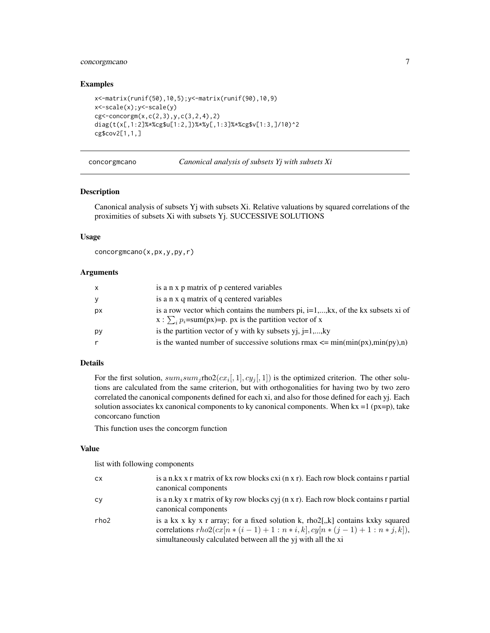# <span id="page-6-0"></span>concorgmcano 7

# Examples

```
x<-matrix(runif(50),10,5);y<-matrix(runif(90),10,9)
x<-scale(x);y<-scale(y)
cg < -concorgm(x, c(2,3), y, c(3,2,4), 2)diag(t(x[,1:2]%*%cg$u[1:2,])%*%y[,1:3]%*%cg$v[1:3,]/10)^2
cg$cov2[1,1,]
```
concorgmcano *Canonical analysis of subsets Yj with subsets Xi*

#### Description

Canonical analysis of subsets Yj with subsets Xi. Relative valuations by squared correlations of the proximities of subsets Xi with subsets Yj. SUCCESSIVE SOLUTIONS

# Usage

concorgmcano(x,px,y,py,r)

# Arguments

| x  | is a n x p matrix of p centered variables                                                                                                                |
|----|----------------------------------------------------------------------------------------------------------------------------------------------------------|
| v  | is a n x q matrix of q centered variables                                                                                                                |
| рx | is a row vector which contains the numbers pi, $i=1,,kx$ , of the kx subsets xi of<br>$x : \sum_{i} p_i = sum(px) = p$ . px is the partition vector of x |
| рy | is the partition vector of y with ky subsets yj, $j=1,,ky$                                                                                               |
|    | is the wanted number of successive solutions $rmax \leq \min(\min(px), \min(px), n)$                                                                     |
|    |                                                                                                                                                          |

#### Details

For the first solution,  $sum_j$  rho2( $cx_i$ , 1,  $cy_j$ , 1) is the optimized criterion. The other solutions are calculated from the same criterion, but with orthogonalities for having two by two zero correlated the canonical components defined for each xi, and also for those defined for each yj. Each solution associates kx canonical components to ky canonical components. When  $kx = 1$  ( $px = p$ ), take concorcano function

This function uses the concorgm function

#### Value

| cх   | is a n.kx x r matrix of kx row blocks cxi (n x r). Each row block contains r partial<br>canonical components                                                                                                     |
|------|------------------------------------------------------------------------------------------------------------------------------------------------------------------------------------------------------------------|
| сv   | is a n.ky x r matrix of ky row blocks cyj (n x r). Each row block contains r partial<br>canonical components                                                                                                     |
| rho2 | is a kx x ky x r array; for a fixed solution k, rho2[,k] contains kxky squared<br>correlations $rho2(cx[n*(i-1)+1:n*i,k], cy[n*(j-1)+1:n*j,k]),$<br>simultaneously calculated between all the yj with all the xi |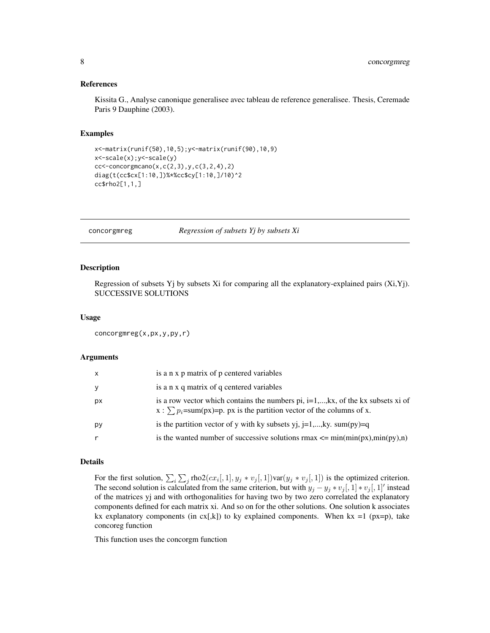#### <span id="page-7-0"></span>References

Kissita G., Analyse canonique generalisee avec tableau de reference generalisee. Thesis, Ceremade Paris 9 Dauphine (2003).

#### Examples

```
x<-matrix(runif(50),10,5);y<-matrix(runif(90),10,9)
x<-scale(x);y<-scale(y)
cc < -concorgmcano(x, c(2,3), y, c(3,2,4), 2)diag(t(cc$cx[1:10,])%*%cc$cy[1:10,]/10)^2
cc$rho2[1,1,]
```
concorgmreg *Regression of subsets Yj by subsets Xi*

#### Description

Regression of subsets Yj by subsets Xi for comparing all the explanatory-explained pairs (Xi,Yj). SUCCESSIVE SOLUTIONS

#### Usage

```
concorgmreg(x,px,y,py,r)
```
### Arguments

| x  | is a n x p matrix of p centered variables                                                                                                                            |
|----|----------------------------------------------------------------------------------------------------------------------------------------------------------------------|
| y  | is a n x q matrix of q centered variables                                                                                                                            |
| рx | is a row vector which contains the numbers pi, $i=1,,kx$ , of the kx subsets xi of<br>$x : \sum p_i = sum(px) = p$ , px is the partition vector of the columns of x. |
| py | is the partition vector of y with ky subsets yj, $j=1,,ky$ . sum(py)=q                                                                                               |
| r  | is the wanted number of successive solutions $rmax \leq min(min(px), min(py), n)$                                                                                    |

# Details

For the first solution,  $\sum_i \sum_j \text{rho2}(cx_i[, 1], y_j * v_j[, 1]$ )  $\text{var}(y_j * v_j[, 1]$ ) is the optimized criterion. The second solution is calculated from the same criterion, but with  $y_j - y_j * v_j[$ ,  $1] * v_j[$ ,  $1]$ ' instead of the matrices yj and with orthogonalities for having two by two zero correlated the explanatory components defined for each matrix xi. And so on for the other solutions. One solution k associates kx explanatory components (in  $cx[k]$ ) to ky explained components. When kx =1 (px=p), take concoreg function

This function uses the concorgm function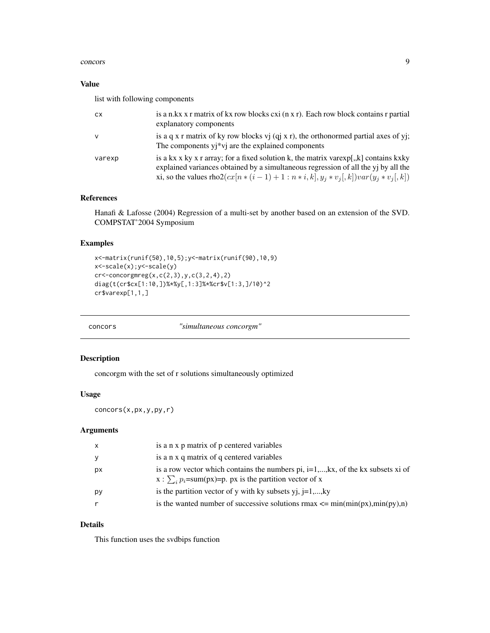#### <span id="page-8-0"></span>concors and the concors of the concors of the concors of the concors of the concors of the concors of the concors of the concors of the concors of the concors of the concors of the concors of the concors of the concors of

# Value

list with following components

| <b>CX</b>    | is a n.kx x r matrix of kx row blocks cxi (n x r). Each row block contains r partial<br>explanatory components                                                                                                                                                 |
|--------------|----------------------------------------------------------------------------------------------------------------------------------------------------------------------------------------------------------------------------------------------------------------|
| $\mathsf{v}$ | is a q x r matrix of ky row blocks vj $(qj x r)$ , the orthonormed partial axes of yj;<br>The components yj*vj are the explained components                                                                                                                    |
| varexp       | is a kx x ky x r array; for a fixed solution k, the matrix varexp[,k] contains kxky<br>explained variances obtained by a simultaneous regression of all the yj by all the<br>xi, so the values rho $2(cx[n*(i-1)+1:n*i,k], y_i * v_i[, k])var(y_i * v_i[, k])$ |

# References

Hanafi & Lafosse (2004) Regression of a multi-set by another based on an extension of the SVD. COMPSTAT'2004 Symposium

# Examples

```
x<-matrix(runif(50),10,5);y<-matrix(runif(90),10,9)
x<-scale(x);y<-scale(y)
cr <-concorgmreg(x,c(2,3),y,c(3,2,4),2)
diag(t(cr$cx[1:10,])%*%y[,1:3]%*%cr$v[1:3,]/10)^2
cr$varexp[1,1,]
```

| "simultaneous concorgm"<br>concors |  |
|------------------------------------|--|
|------------------------------------|--|

# Description

concorgm with the set of r solutions simultaneously optimized

#### Usage

concors(x,px,y,py,r)

# Arguments

| $\mathsf{x}$ | is a n x p matrix of p centered variables                                                                                                                |
|--------------|----------------------------------------------------------------------------------------------------------------------------------------------------------|
| У            | is a n x q matrix of q centered variables                                                                                                                |
| рx           | is a row vector which contains the numbers pi, $i=1,,kx$ , of the kx subsets xi of<br>$x : \sum_{i} p_i = sum(px) = p$ . px is the partition vector of x |
| py           | is the partition vector of y with ky subsets yj, $j=1,,ky$                                                                                               |
| r            | is the wanted number of successive solutions $rmax \leq \min(\min(px), \min(px), n)$                                                                     |

# Details

This function uses the svdbips function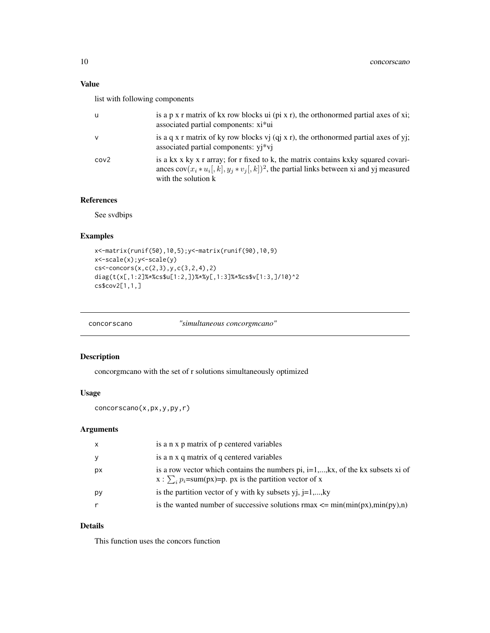# <span id="page-9-0"></span>Value

list with following components

| u                | is a $p \times r$ matrix of kx row blocks ui ( $pi \times r$ ), the orthonormed partial axes of xi;<br>associated partial components: xi*ui                                                                       |
|------------------|-------------------------------------------------------------------------------------------------------------------------------------------------------------------------------------------------------------------|
| $\mathsf{V}$     | is a q x r matrix of ky row blocks vj $(qj x r)$ , the orthonormed partial axes of yj;<br>associated partial components: yj*vj                                                                                    |
| cov <sub>2</sub> | is a kx x ky x r array; for r fixed to k, the matrix contains kxky squared covari-<br>ances $cov(x_i * u_i, k], y_i * v_i, k)$ <sup>2</sup> , the partial links between xi and yj measured<br>with the solution k |

# References

See svdbips

# Examples

```
x<-matrix(runif(50),10,5);y<-matrix(runif(90),10,9)
x<-scale(x);y<-scale(y)
cs<-concors(x,c(2,3),y,c(3,2,4),2)
diag(t(x[,1:2]%*%cs$u[1:2,])%*%y[,1:3]%*%cs$v[1:3,]/10)^2
cs$cov2[1,1,]
```
concorscano *"simultaneous concorgmcano"*

# Description

concorgmcano with the set of r solutions simultaneously optimized

# Usage

```
concorscano(x,px,y,py,r)
```
# Arguments

| $\mathsf{x}$ | is a n x p matrix of p centered variables                                                                                                                       |
|--------------|-----------------------------------------------------------------------------------------------------------------------------------------------------------------|
| y            | is a n x q matrix of q centered variables                                                                                                                       |
| px           | is a row vector which contains the numbers pi, $i=1,,kx$ , of the kx subsets xi of<br>x : $\sum_{i} p_i = \text{sum}(px) = p$ . px is the partition vector of x |
| рy           | is the partition vector of y with ky subsets yj, $j=1,,ky$                                                                                                      |
|              | is the wanted number of successive solutions $rmax \leq \min(\min(px), \min(px), n)$                                                                            |

# Details

This function uses the concors function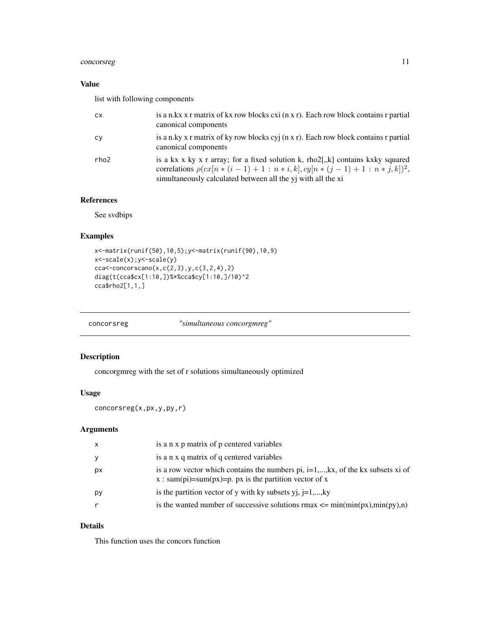# <span id="page-10-0"></span>concorsreg 11

# Value

list with following components

| <b>CX</b> | is a n.kx x r matrix of kx row blocks cxi (n x r). Each row block contains r partial<br>canonical components                                                                                                            |
|-----------|-------------------------------------------------------------------------------------------------------------------------------------------------------------------------------------------------------------------------|
| Cy        | is a n.ky x r matrix of ky row blocks cyj (n x r). Each row block contains r partial<br>canonical components                                                                                                            |
| rho2      | is a kx x ky x r array; for a fixed solution k, $rho2[,k]$ contains kxky squared<br>correlations $\rho(cx[n*(i-1)+1:n*i,k], cy[n*(j-1)+1:n*j,k])^{2}$ ,<br>simultaneously calculated between all the yj with all the xi |

# References

See svdbips

# Examples

```
x<-matrix(runif(50),10,5);y<-matrix(runif(90),10,9)
x<-scale(x);y<-scale(y)
cca < -concorscano(x, c(2,3), y, c(3,2,4), 2)diag(t(cca$cx[1:10,])%*%cca$cy[1:10,]/10)^2
cca$rho2[1,1,]
```

|  | concorsreg | "simultaneous concorgmreg" |  |
|--|------------|----------------------------|--|
|--|------------|----------------------------|--|

# Description

concorgmreg with the set of r solutions simultaneously optimized

# Usage

```
concorsreg(x,px,y,py,r)
```
# Arguments

| $\mathsf{X}$ | is a n x p matrix of p centered variables                                                                                                    |
|--------------|----------------------------------------------------------------------------------------------------------------------------------------------|
| y            | is a n x q matrix of q centered variables                                                                                                    |
| рx           | is a row vector which contains the numbers pi, $i=1,,kx$ , of the kx subsets xi of<br>x : sum(pi)=sum(px)=p. px is the partition vector of x |
| рy           | is the partition vector of y with ky subsets yj, $j=1,,ky$                                                                                   |
|              | is the wanted number of successive solutions $rmax \leq min(min(px), min(py), n)$                                                            |

# Details

This function uses the concors function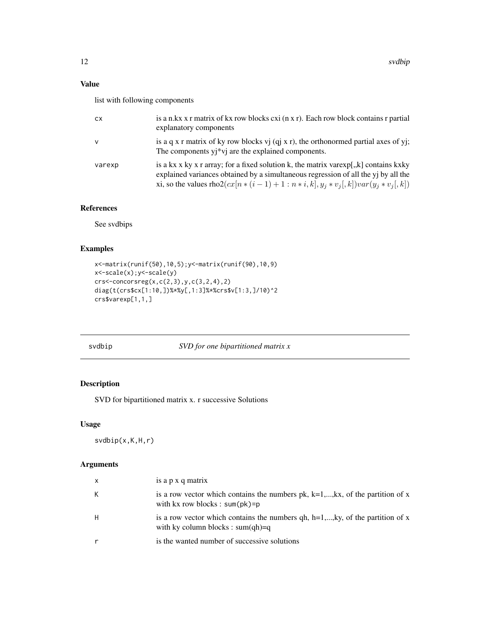# <span id="page-11-0"></span>Value

list with following components

| <b>CX</b> | is a n.kx x r matrix of kx row blocks cxi (n x r). Each row block contains r partial<br>explanatory components                                                                                                                                                      |
|-----------|---------------------------------------------------------------------------------------------------------------------------------------------------------------------------------------------------------------------------------------------------------------------|
| v         | is a q x r matrix of ky row blocks vj $(qj x r)$ , the orthonormed partial axes of yj;<br>The components $y_i * v_j$ are the explained components.                                                                                                                  |
| varexp    | is a kx x ky x r array; for a fixed solution k, the matrix varexp[,,k] contains kxky<br>explained variances obtained by a simultaneous regression of all the yj by all the<br>xi, so the values rho2( $cx[n*(i-1)+1:n*i,k]$ , $y_i * v_i$ , k)) $var(y_i * v_i, k)$ |

# References

See svdbips

# Examples

```
x<-matrix(runif(50),10,5);y<-matrix(runif(90),10,9)
x<-scale(x);y<-scale(y)
crs<-\text{concorsreg}(x,c(2,3),y,c(3,2,4),2)diag(t(crs$cx[1:10,])%*%y[,1:3]%*%crs$v[1:3,]/10)^2
crs$varexp[1,1,]
```
svdbip *SVD for one bipartitioned matrix x*

# Description

SVD for bipartitioned matrix x. r successive Solutions

# Usage

svdbip(x,K,H,r)

# Arguments

| $\mathsf{X}$ | is a p x q matrix                                                                                                           |
|--------------|-----------------------------------------------------------------------------------------------------------------------------|
| K            | is a row vector which contains the numbers pk, $k=1,,kx$ , of the partition of x<br>with $kx$ row blocks : sum( $pk$ )= $p$ |
| H            | is a row vector which contains the numbers qh, h=1,,ky, of the partition of x<br>with ky column blocks : sum(qh)=q          |
|              | is the wanted number of successive solutions                                                                                |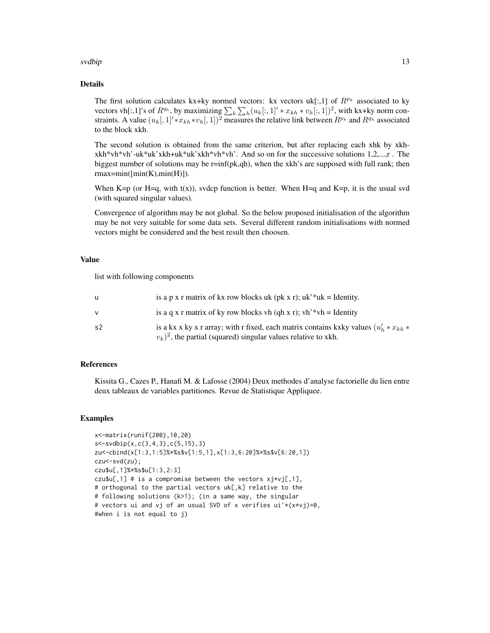#### svdbip the state of the state of the state of the state of the state of the state of the state of the state of the state of the state of the state of the state of the state of the state of the state of the state of the sta

# Details

The first solution calculates kx+ky normed vectors: kx vectors uk[:,1] of  $R^{p_k}$  associated to ky vectors vh[:,1]'s of  $R^{q_h}$ , by maximizing  $\sum_k \sum_h (u_k[:, 1]' * x_{kh} * v_h[:, 1])^2$ , with kx+ky norm constraints. A value  $(u_k[,1]'*x_{kh}*v_h[,1])^2$  measures the relative link between  $R^{p_k}$  and  $R^{q_h}$  associated to the block xkh.

The second solution is obtained from the same criterion, but after replacing each xhk by xkhxkh\*vh\*vh'-uk\*uk'xkh+uk\*uk'xkh\*vh\*vh'. And so on for the successive solutions 1,2,...,r . The biggest number of solutions may be  $r=inf(pk,qh)$ , when the xkh's are supposed with full rank; then rmax=min([min(K),min(H)]).

When K=p (or H=q, with  $t(x)$ ), svdcp function is better. When H=q and K=p, it is the usual svd (with squared singular values).

Convergence of algorithm may be not global. So the below proposed initialisation of the algorithm may be not very suitable for some data sets. Several different random initialisations with normed vectors might be considered and the best result then choosen.

# Value

list with following components

|    | is a p x r matrix of kx row blocks uk (pk x r); uk <sup>3*</sup> uk = Identity.                                                                                 |
|----|-----------------------------------------------------------------------------------------------------------------------------------------------------------------|
| v  | is a q x r matrix of ky row blocks vh (qh x r); vh <sup>3</sup> *vh = Identity                                                                                  |
| s2 | is a kx x ky x r array; with r fixed, each matrix contains kxky values $(u'_k * x_{kh} *$<br>$(v_k)^2$ , the partial (squared) singular values relative to xkh. |

# References

Kissita G., Cazes P., Hanafi M. & Lafosse (2004) Deux methodes d'analyse factorielle du lien entre deux tableaux de variables partitiones. Revue de Statistique Appliquee.

#### Examples

```
x<-matrix(runif(200),10,20)
s<-svdbip(x,c(3,4,3),c(5,15),3)
zu<-cbind(x[1:3,1:5]%*%s$v[1:5,1],x[1:3,6:20]%*%s$v[6:20,1])
czu<-svd(zu);
czu$u[,1]%*%s$u[1:3,2:3]
czu$u[,1] # is a compromise between the vectors xj*vj[,1],# orthogonal to the partial vectors uk[,k] relative to the
# following solutions (k>1); (in a same way, the singular
# vectors ui and vj of an usual SVD of x verifies ui'*(x*vj)=0,
#when i is not equal to j)
```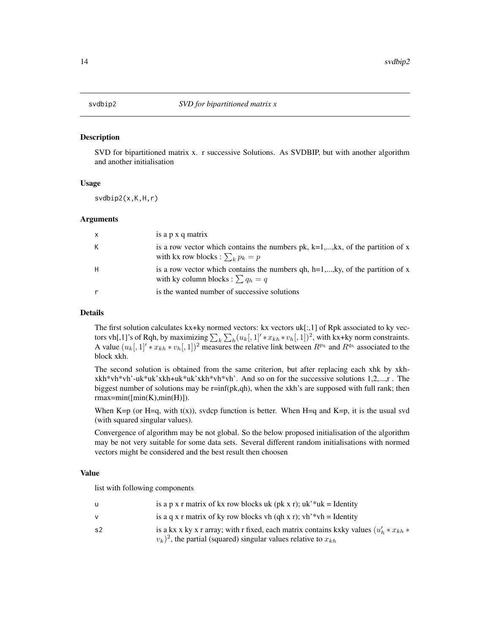<span id="page-13-0"></span>

#### Description

SVD for bipartitioned matrix x. r successive Solutions. As SVDBIP, but with another algorithm and another initialisation

#### Usage

svdbip2(x,K,H,r)

#### Arguments

| $\mathsf{x}$ | is a p x q matrix                                                                                                         |
|--------------|---------------------------------------------------------------------------------------------------------------------------|
| K            | is a row vector which contains the numbers pk, $k=1,,kx$ , of the partition of x<br>with kx row blocks : $\sum_k p_k = p$ |
| H            | is a row vector which contains the numbers qh, h=1,,ky, of the partition of x<br>with ky column blocks : $\sum q_h = q$   |
|              | is the wanted number of successive solutions                                                                              |

# Details

The first solution calculates kx+ky normed vectors: kx vectors uk[:,1] of Rpk associated to ky vectors vh[,1]'s of Rqh, by maximizing  $\sum_k \sum_h (u_k[, 1]^t * x_{kh} * v_h[, 1]^2$ , with kx+ky norm constraints. A value  $(u_k[, 1]' * x_{kh} * v_h[, 1])^2$  measures the relative link between  $R^{p_k}$  and  $R^{q_h}$  associated to the block xkh.

The second solution is obtained from the same criterion, but after replacing each xhk by xkhxkh\*vh\*vh'-uk\*uk'xkh+uk\*uk'xkh\*vh\*vh'. And so on for the successive solutions 1,2,...,r . The biggest number of solutions may be  $r=inf(pk,qh)$ , when the xkh's are supposed with full rank; then rmax=min([min(K),min(H)]).

When K=p (or H=q, with  $t(x)$ ), svdcp function is better. When H=q and K=p, it is the usual svd (with squared singular values).

Convergence of algorithm may be not global. So the below proposed initialisation of the algorithm may be not very suitable for some data sets. Several different random initialisations with normed vectors might be considered and the best result then choosen

#### Value

|    | is a p x r matrix of kx row blocks uk (pk x r); $uk$ <sup>*</sup> uk = Identity                                                                                     |
|----|---------------------------------------------------------------------------------------------------------------------------------------------------------------------|
|    | is a q x r matrix of ky row blocks vh (qh x r); $vh^*wh = Identity$                                                                                                 |
| s2 | is a kx x ky x r array; with r fixed, each matrix contains kxky values $(u'_h * x_{kh} *$<br>$(v_k)^2$ , the partial (squared) singular values relative to $x_{kh}$ |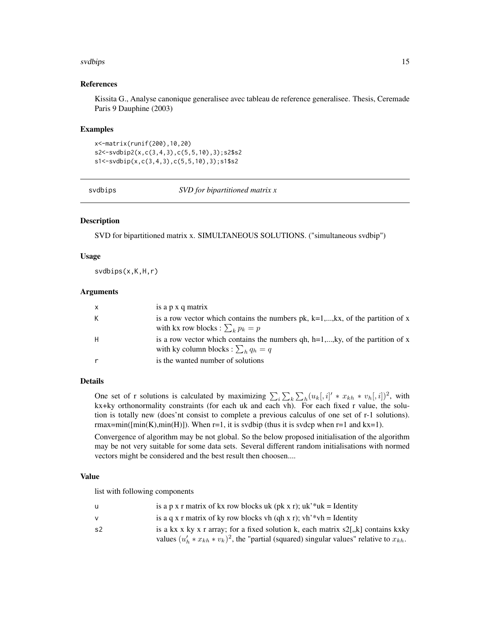#### <span id="page-14-0"></span>svdbips the state of the state of the state of the state of the state of the state of the state of the state of the state of the state of the state of the state of the state of the state of the state of the state of the st

# References

Kissita G., Analyse canonique generalisee avec tableau de reference generalisee. Thesis, Ceremade Paris 9 Dauphine (2003)

#### Examples

x<-matrix(runif(200),10,20) s2<-svdbip2(x,c(3,4,3),c(5,5,10),3);s2\$s2 s1<-svdbip(x,c(3,4,3),c(5,5,10),3);s1\$s2

svdbips *SVD for bipartitioned matrix x*

# Description

SVD for bipartitioned matrix x. SIMULTANEOUS SOLUTIONS. ("simultaneous svdbip")

#### Usage

svdbips(x,K,H,r)

#### Arguments

| $\mathsf{x}$ | is a p x q matrix                                                                                                            |
|--------------|------------------------------------------------------------------------------------------------------------------------------|
| К            | is a row vector which contains the numbers $pk$ , $k=1,,kx$ , of the partition of x<br>with kx row blocks : $\sum_k p_k = p$ |
| H            | is a row vector which contains the numbers qh, $h=1,,ky$ , of the partition of x<br>with ky column blocks : $\sum_b q_h = q$ |
| r            | is the wanted number of solutions                                                                                            |

# Details

One set of r solutions is calculated by maximizing  $\sum_i \sum_k \sum_h (u_k[:, i]' * x_{kh} * v_h[:, i])^2$ , with kx+ky orthonormality constraints (for each uk and each vh). For each fixed r value, the solution is totally new (does'nt consist to complete a previous calculus of one set of r-1 solutions).  $rmax = min([min(K), min(H)])$ . When  $r=1$ , it is svdbip (thus it is svdcp when  $r=1$  and  $kx=1$ ).

Convergence of algorithm may be not global. So the below proposed initialisation of the algorithm may be not very suitable for some data sets. Several different random initialisations with normed vectors might be considered and the best result then choosen....

#### Value

| u  | is a p x r matrix of kx row blocks uk (pk x r); $uk$ <sup>*</sup> uk = Identity                   |
|----|---------------------------------------------------------------------------------------------------|
| v  | is a q x r matrix of ky row blocks vh (qh x r); $vh^*wh = Identity$                               |
| s2 | is a kx x ky x r array; for a fixed solution k, each matrix $s2$ , k] contains kxky               |
|    | values $(u'_h * x_{kh} * v_k)^2$ , the "partial (squared) singular values" relative to $x_{kh}$ . |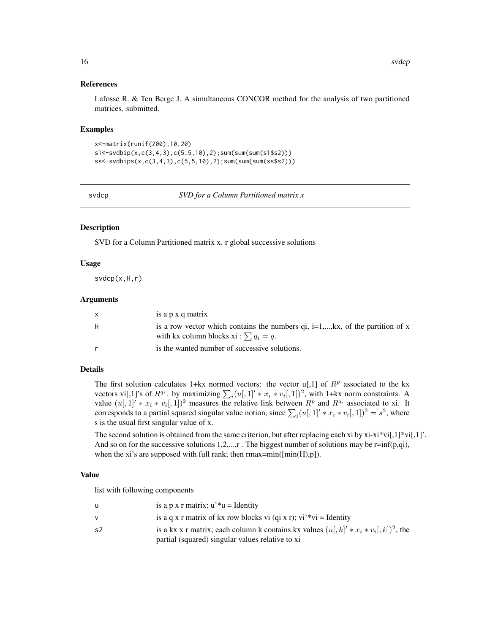#### 16 svdcp

# References

Lafosse R. & Ten Berge J. A simultaneous CONCOR method for the analysis of two partitioned matrices. submitted.

#### Examples

```
x<-matrix(runif(200),10,20)
s1<-svdbip(x,c(3,4,3),c(5,5,10),2);sum(sum(sum(s1$s2)))
ss<-svdbips(x,c(3,4,3),c(5,5,10),2);sum(sum(sum(ss$s2)))
```
svdcp *SVD for a Column Partitioned matrix x*

#### Description

SVD for a Column Partitioned matrix x. r global successive solutions

### Usage

svdcp(x,H,r)

#### Arguments

| $\mathsf{x}$ | is a p x q matrix                                                                                                                  |
|--------------|------------------------------------------------------------------------------------------------------------------------------------|
| H            | is a row vector which contains the numbers $qi$ , $i=1,,kx$ , of the partition of x<br>with kx column blocks xi : $\sum q_i = q$ . |
|              | is the wanted number of successive solutions.                                                                                      |

# Details

The first solution calculates 1+kx normed vectors: the vector  $u[0,1]$  of  $R^p$  associated to the kx vectors vi[,1]'s of  $R^{q_i}$ . by maximizing  $\sum_i (u[, 1] \cdot x_i * v_i[, 1])^2$ , with 1+kx norm constraints. A value  $(u[,1]' * x_i * v_i[,1])^2$  measures the relative link between  $R^p$  and  $R^{q_i}$  associated to xi. It corresponds to a partial squared singular value notion, since  $\sum_i (u[, 1]' * x_i * v_i[, 1])^2 = s^2$ , where s is the usual first singular value of x.

The second solution is obtained from the same criterion, but after replacing each xi by  $xi-xi*vi[,1]*vi[,1]'$ . And so on for the successive solutions 1,2,...,r. The biggest number of solutions may be r=inf(p,qi), when the xi's are supposed with full rank; then  $rmax=min([min(H),p])$ .

# Value

|    | is a p x r matrix; $u^*u =$ Identity                                                    |
|----|-----------------------------------------------------------------------------------------|
|    | is a q x r matrix of kx row blocks vi (qi x r); vi <sup>**</sup> vi = Identity          |
| s2 | is a kx x r matrix; each column k contains kx values $(u, k'  * x_i * v_i, k )^2$ , the |
|    | partial (squared) singular values relative to xi                                        |

<span id="page-15-0"></span>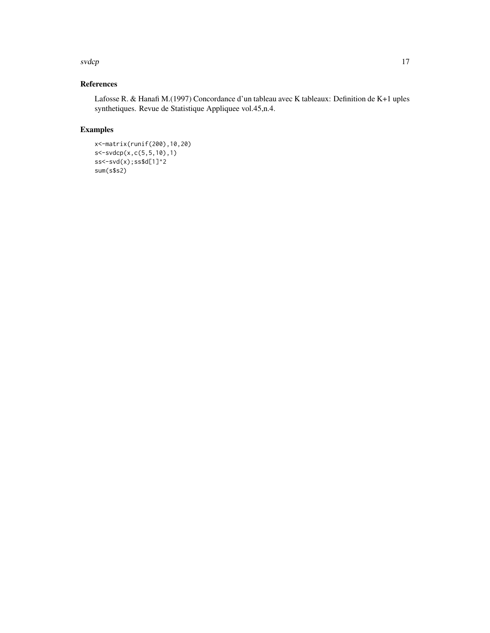#### svdcp and the state of the state of the state of the state of the state of the state of the state of the state of the state of the state of the state of the state of the state of the state of the state of the state of the

# References

Lafosse R. & Hanafi M.(1997) Concordance d'un tableau avec K tableaux: Definition de K+1 uples synthetiques. Revue de Statistique Appliquee vol.45,n.4.

# Examples

```
x<-matrix(runif(200),10,20)
s<-svdcp(x,c(5,5,10),1)
ss<-svd(x);ss$d[1]^2
sum(s$s2)
```